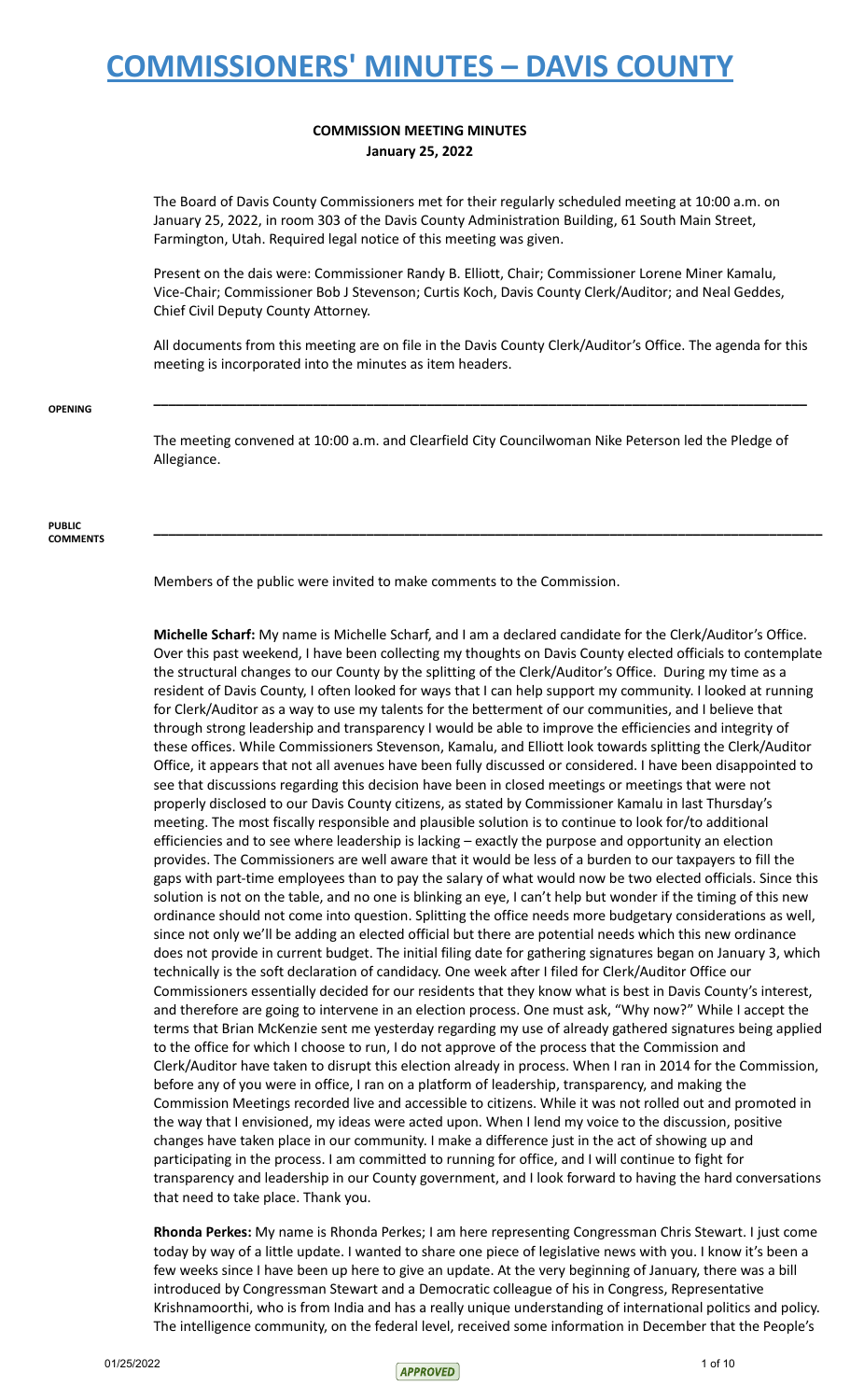### **COMMISSION MEETING MINUTES January 25, 2022**

The Board of Davis County Commissioners met for their regularly scheduled meeting at 10:00 a.m. on January 25, 2022, in room 303 of the Davis County Administration Building, 61 South Main Street, Farmington, Utah. Required legal notice of this meeting was given.

Present on the dais were: Commissioner Randy B. Elliott, Chair; Commissioner Lorene Miner Kamalu, Vice-Chair; Commissioner Bob J Stevenson; Curtis Koch, Davis County Clerk/Auditor; and Neal Geddes, Chief Civil Deputy County Attorney.

All documents from this meeting are on file in the Davis County Clerk/Auditor's Office. The agenda for this meeting is incorporated into the minutes as item headers.

**\_\_\_\_\_\_\_\_\_\_\_\_\_\_\_\_\_\_\_\_\_\_\_\_\_\_\_\_\_\_\_\_\_\_\_\_\_\_\_\_\_\_\_\_\_\_\_\_\_\_\_\_\_\_\_\_\_\_\_\_\_\_\_\_\_\_\_\_\_\_\_\_\_\_\_\_\_\_\_\_\_\_\_\_\_\_**

**\_\_\_\_\_\_\_\_\_\_\_\_\_\_\_\_\_\_\_\_\_\_\_\_\_\_\_\_\_\_\_\_\_\_\_\_\_\_\_\_\_\_\_\_\_\_\_\_\_\_\_\_\_\_\_\_\_\_\_\_\_\_\_\_\_\_\_\_\_\_\_\_\_\_\_\_\_\_\_\_\_\_\_\_\_\_\_\_**

#### **OPENING**

The meeting convened at 10:00 a.m. and Clearfield City Councilwoman Nike Peterson led the Pledge of Allegiance.

#### **PUBLIC COMMENTS**

Members of the public were invited to make comments to the Commission.

**Michelle Scharf:** My name is Michelle Scharf, and I am a declared candidate for the Clerk/Auditor's Office. Over this past weekend, I have been collecting my thoughts on Davis County elected officials to contemplate the structural changes to our County by the splitting of the Clerk/Auditor's Office. During my time as a resident of Davis County, I often looked for ways that I can help support my community. I looked at running for Clerk/Auditor as a way to use my talents for the betterment of our communities, and I believe that through strong leadership and transparency I would be able to improve the efficiencies and integrity of these offices. While Commissioners Stevenson, Kamalu, and Elliott look towards splitting the Clerk/Auditor Office, it appears that not all avenues have been fully discussed or considered. I have been disappointed to see that discussions regarding this decision have been in closed meetings or meetings that were not properly disclosed to our Davis County citizens, as stated by Commissioner Kamalu in last Thursday's meeting. The most fiscally responsible and plausible solution is to continue to look for/to additional efficiencies and to see where leadership is lacking – exactly the purpose and opportunity an election provides. The Commissioners are well aware that it would be less of a burden to our taxpayers to fill the gaps with part-time employees than to pay the salary of what would now be two elected officials. Since this solution is not on the table, and no one is blinking an eye, I can't help but wonder if the timing of this new ordinance should not come into question. Splitting the office needs more budgetary considerations as well, since not only we'll be adding an elected official but there are potential needs which this new ordinance does not provide in current budget. The initial filing date for gathering signatures began on January 3, which technically is the soft declaration of candidacy. One week after I filed for Clerk/Auditor Office our Commissioners essentially decided for our residents that they know what is best in Davis County's interest, and therefore are going to intervene in an election process. One must ask, "Why now?" While I accept the terms that Brian McKenzie sent me yesterday regarding my use of already gathered signatures being applied to the office for which I choose to run, I do not approve of the process that the Commission and Clerk/Auditor have taken to disrupt this election already in process. When I ran in 2014 for the Commission, before any of you were in office, I ran on a platform of leadership, transparency, and making the Commission Meetings recorded live and accessible to citizens. While it was not rolled out and promoted in the way that I envisioned, my ideas were acted upon. When I lend my voice to the discussion, positive changes have taken place in our community. I make a difference just in the act of showing up and participating in the process. I am committed to running for office, and I will continue to fight for transparency and leadership in our County government, and I look forward to having the hard conversations that need to take place. Thank you.

**Rhonda Perkes:** My name is Rhonda Perkes; I am here representing Congressman Chris Stewart. I just come today by way of a little update. I wanted to share one piece of legislative news with you. I know it's been a few weeks since I have been up here to give an update. At the very beginning of January, there was a bill introduced by Congressman Stewart and a Democratic colleague of his in Congress, Representative Krishnamoorthi, who is from India and has a really unique understanding of international politics and policy. The intelligence community, on the federal level, received some information in December that the People's

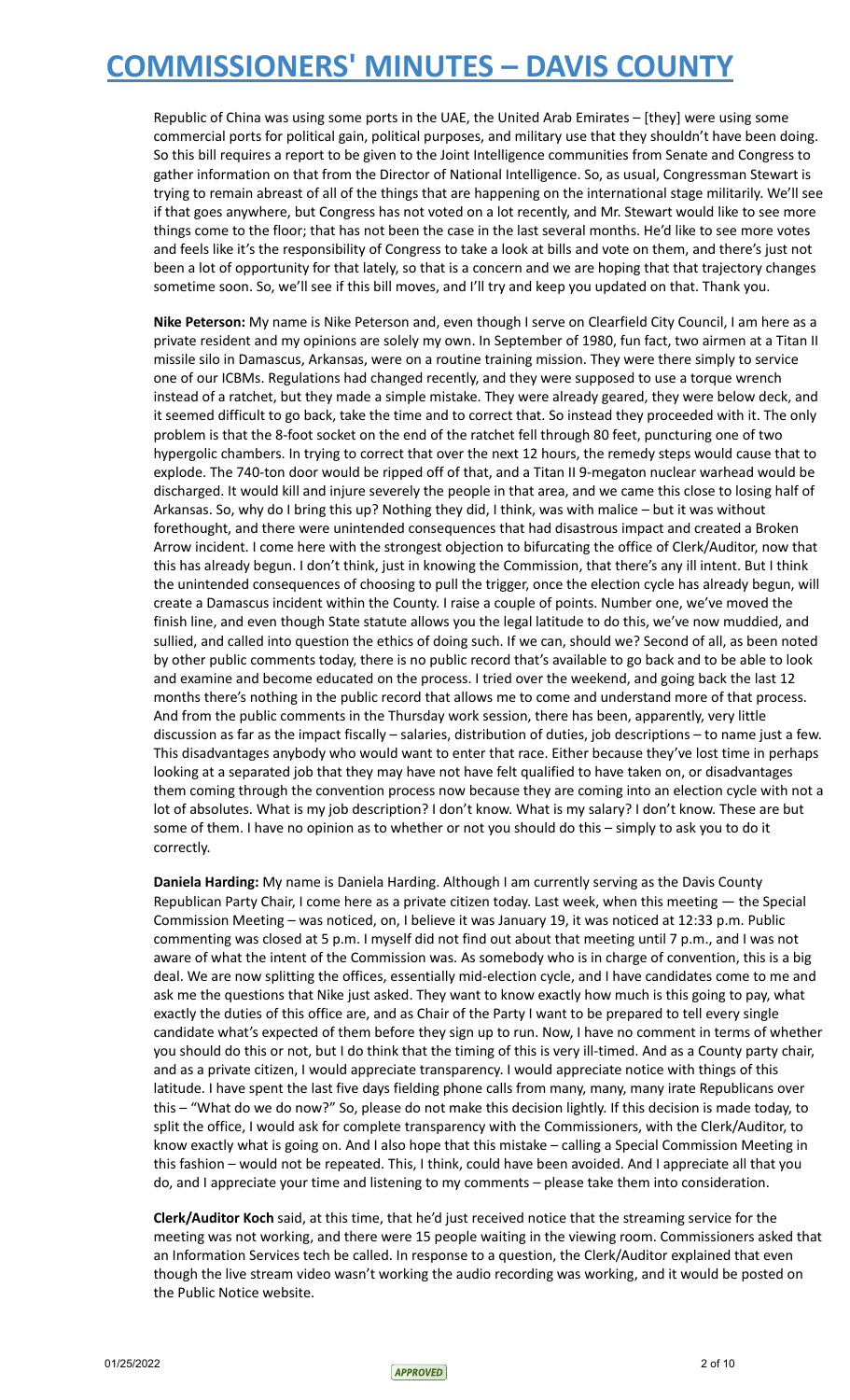Republic of China was using some ports in the UAE, the United Arab Emirates – [they] were using some commercial ports for political gain, political purposes, and military use that they shouldn't have been doing. So this bill requires a report to be given to the Joint Intelligence communities from Senate and Congress to gather information on that from the Director of National Intelligence. So, as usual, Congressman Stewart is trying to remain abreast of all of the things that are happening on the international stage militarily. We'll see if that goes anywhere, but Congress has not voted on a lot recently, and Mr. Stewart would like to see more things come to the floor; that has not been the case in the last several months. He'd like to see more votes and feels like it's the responsibility of Congress to take a look at bills and vote on them, and there's just not been a lot of opportunity for that lately, so that is a concern and we are hoping that that trajectory changes sometime soon. So, we'll see if this bill moves, and I'll try and keep you updated on that. Thank you.

**Nike Peterson:** My name is Nike Peterson and, even though I serve on Clearfield City Council, I am here as a private resident and my opinions are solely my own. In September of 1980, fun fact, two airmen at a Titan II missile silo in Damascus, Arkansas, were on a routine training mission. They were there simply to service one of our ICBMs. Regulations had changed recently, and they were supposed to use a torque wrench instead of a ratchet, but they made a simple mistake. They were already geared, they were below deck, and it seemed difficult to go back, take the time and to correct that. So instead they proceeded with it. The only problem is that the 8-foot socket on the end of the ratchet fell through 80 feet, puncturing one of two hypergolic chambers. In trying to correct that over the next 12 hours, the remedy steps would cause that to explode. The 740-ton door would be ripped off of that, and a Titan II 9-megaton nuclear warhead would be discharged. It would kill and injure severely the people in that area, and we came this close to losing half of Arkansas. So, why do I bring this up? Nothing they did, I think, was with malice – but it was without forethought, and there were unintended consequences that had disastrous impact and created a Broken Arrow incident. I come here with the strongest objection to bifurcating the office of Clerk/Auditor, now that this has already begun. I don't think, just in knowing the Commission, that there's any ill intent. But I think the unintended consequences of choosing to pull the trigger, once the election cycle has already begun, will create a Damascus incident within the County. I raise a couple of points. Number one, we've moved the finish line, and even though State statute allows you the legal latitude to do this, we've now muddied, and sullied, and called into question the ethics of doing such. If we can, should we? Second of all, as been noted by other public comments today, there is no public record that's available to go back and to be able to look and examine and become educated on the process. I tried over the weekend, and going back the last 12 months there's nothing in the public record that allows me to come and understand more of that process. And from the public comments in the Thursday work session, there has been, apparently, very little discussion as far as the impact fiscally – salaries, distribution of duties, job descriptions – to name just a few. This disadvantages anybody who would want to enter that race. Either because they've lost time in perhaps looking at a separated job that they may have not have felt qualified to have taken on, or disadvantages them coming through the convention process now because they are coming into an election cycle with not a lot of absolutes. What is my job description? I don't know. What is my salary? I don't know. These are but some of them. I have no opinion as to whether or not you should do this – simply to ask you to do it correctly.

**Daniela Harding:** My name is Daniela Harding. Although I am currently serving as the Davis County Republican Party Chair, I come here as a private citizen today. Last week, when this meeting — the Special Commission Meeting – was noticed, on, I believe it was January 19, it was noticed at 12:33 p.m. Public commenting was closed at 5 p.m. I myself did not find out about that meeting until 7 p.m., and I was not aware of what the intent of the Commission was. As somebody who is in charge of convention, this is a big deal. We are now splitting the offices, essentially mid-election cycle, and I have candidates come to me and ask me the questions that Nike just asked. They want to know exactly how much is this going to pay, what exactly the duties of this office are, and as Chair of the Party I want to be prepared to tell every single candidate what's expected of them before they sign up to run. Now, I have no comment in terms of whether you should do this or not, but I do think that the timing of this is very ill-timed. And as a County party chair, and as a private citizen, I would appreciate transparency. I would appreciate notice with things of this latitude. I have spent the last five days fielding phone calls from many, many, many irate Republicans over this – "What do we do now?" So, please do not make this decision lightly. If this decision is made today, to split the office, I would ask for complete transparency with the Commissioners, with the Clerk/Auditor, to know exactly what is going on. And I also hope that this mistake – calling a Special Commission Meeting in this fashion – would not be repeated. This, I think, could have been avoided. And I appreciate all that you do, and I appreciate your time and listening to my comments – please take them into consideration.

**Clerk/Auditor Koch** said, at this time, that he'd just received notice that the streaming service for the meeting was not working, and there were 15 people waiting in the viewing room. Commissioners asked that an Information Services tech be called. In response to a question, the Clerk/Auditor explained that even though the live stream video wasn't working the audio recording was working, and it would be posted on the Public Notice website.

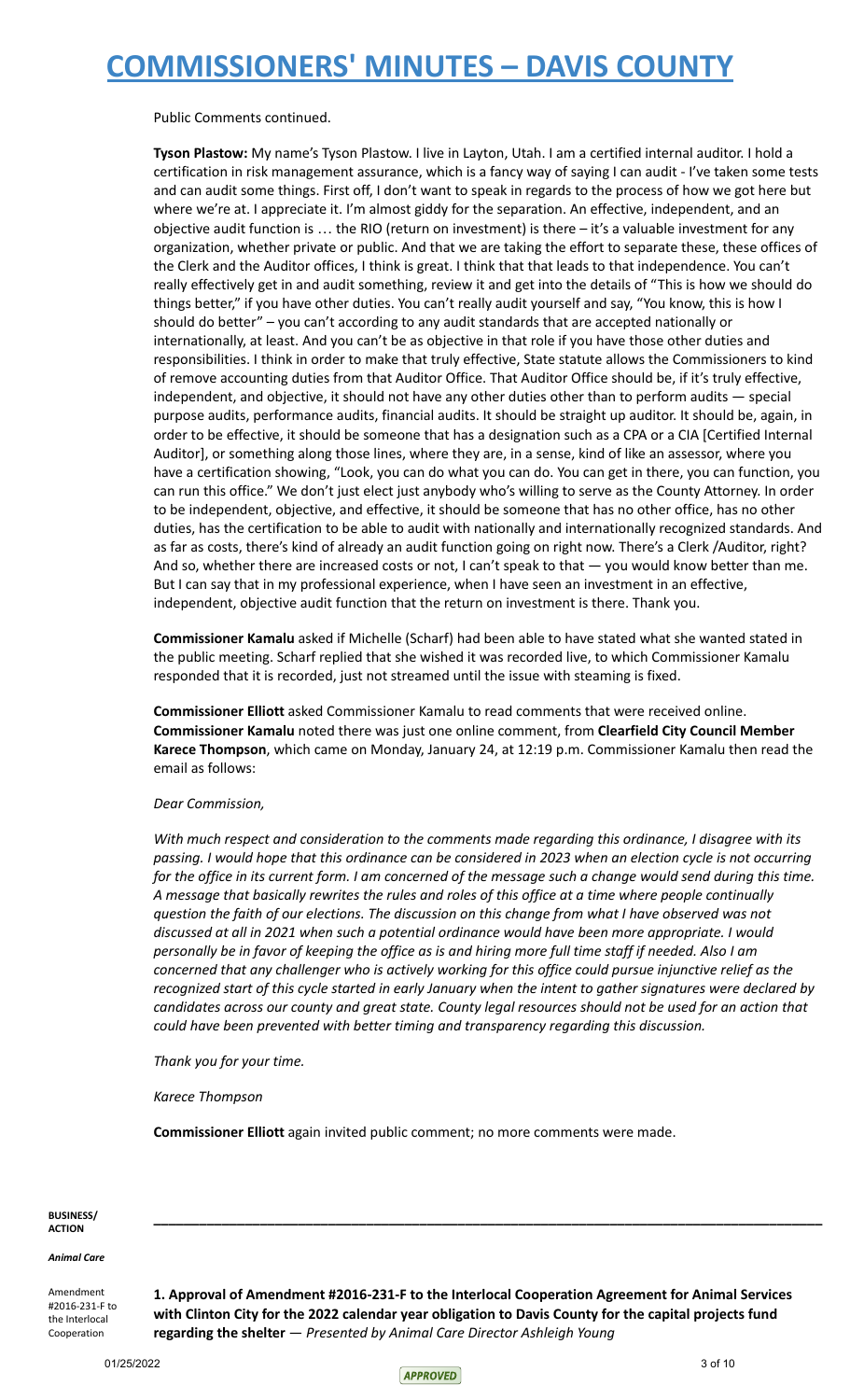Public Comments continued.

**Tyson Plastow:** My name's Tyson Plastow. I live in Layton, Utah. I am a certified internal auditor. I hold a certification in risk management assurance, which is a fancy way of saying I can audit - I've taken some tests and can audit some things. First off, I don't want to speak in regards to the process of how we got here but where we're at. I appreciate it. I'm almost giddy for the separation. An effective, independent, and an objective audit function is … the RIO (return on investment) is there – it's a valuable investment for any organization, whether private or public. And that we are taking the effort to separate these, these offices of the Clerk and the Auditor offices, I think is great. I think that that leads to that independence. You can't really effectively get in and audit something, review it and get into the details of "This is how we should do things better," if you have other duties. You can't really audit yourself and say, "You know, this is how I should do better" – you can't according to any audit standards that are accepted nationally or internationally, at least. And you can't be as objective in that role if you have those other duties and responsibilities. I think in order to make that truly effective, State statute allows the Commissioners to kind of remove accounting duties from that Auditor Office. That Auditor Office should be, if it's truly effective, independent, and objective, it should not have any other duties other than to perform audits — special purpose audits, performance audits, financial audits. It should be straight up auditor. It should be, again, in order to be effective, it should be someone that has a designation such as a CPA or a CIA [Certified Internal Auditor], or something along those lines, where they are, in a sense, kind of like an assessor, where you have a certification showing, "Look, you can do what you can do. You can get in there, you can function, you can run this office." We don't just elect just anybody who's willing to serve as the County Attorney. In order to be independent, objective, and effective, it should be someone that has no other office, has no other duties, has the certification to be able to audit with nationally and internationally recognized standards. And as far as costs, there's kind of already an audit function going on right now. There's a Clerk /Auditor, right? And so, whether there are increased costs or not, I can't speak to that — you would know better than me. But I can say that in my professional experience, when I have seen an investment in an effective, independent, objective audit function that the return on investment is there. Thank you.

**Commissioner Kamalu** asked if Michelle (Scharf) had been able to have stated what she wanted stated in the public meeting. Scharf replied that she wished it was recorded live, to which Commissioner Kamalu responded that it is recorded, just not streamed until the issue with steaming is fixed.

**Commissioner Elliott** asked Commissioner Kamalu to read comments that were received online. **Commissioner Kamalu** noted there was just one online comment, from **Clearfield City Council Member Karece Thompson**, which came on Monday, January 24, at 12:19 p.m. Commissioner Kamalu then read the email as follows:

#### *Dear Commission,*

*With much respect and consideration to the comments made regarding this ordinance, I disagree with its* passing. I would hope that this ordinance can be considered in 2023 when an election cycle is not occurring for the office in its current form. I am concerned of the message such a change would send during this time. A message that basically rewrites the rules and roles of this office at a time where people continually question the faith of our elections. The discussion on this change from what I have observed was not *discussed at all in 2021 when such a potential ordinance would have been more appropriate. I would* personally be in favor of keeping the office as is and hiring more full time staff if needed. Also I am concerned that any challenger who is actively working for this office could pursue injunctive relief as the recognized start of this cycle started in early January when the intent to gather signatures were declared by candidates across our county and great state. County legal resources should not be used for an action that *could have been prevented with better timing and transparency regarding this discussion.*

*Thank you for your time.*

*Karece Thompson*

**Commissioner Elliott** again invited public comment; no more comments were made.

#### **BUSINESS/ ACTION**

*Animal Care*

Amendment #2016-231-F to the Interlocal Cooperation

**1. Approval of Amendment #2016-231-F to the Interlocal Cooperation Agreement for Animal Services with Clinton City for the 2022 calendar year obligation to Davis County for the capital projects fund regarding the shelter** — *Presented by Animal Care Director Ashleigh Young*

**\_\_\_\_\_\_\_\_\_\_\_\_\_\_\_\_\_\_\_\_\_\_\_\_\_\_\_\_\_\_\_\_\_\_\_\_\_\_\_\_\_\_\_\_\_\_\_\_\_\_\_\_\_\_\_\_\_\_\_\_\_\_\_\_\_\_\_\_\_\_\_\_\_\_\_\_\_\_\_\_\_\_\_\_\_\_\_\_**

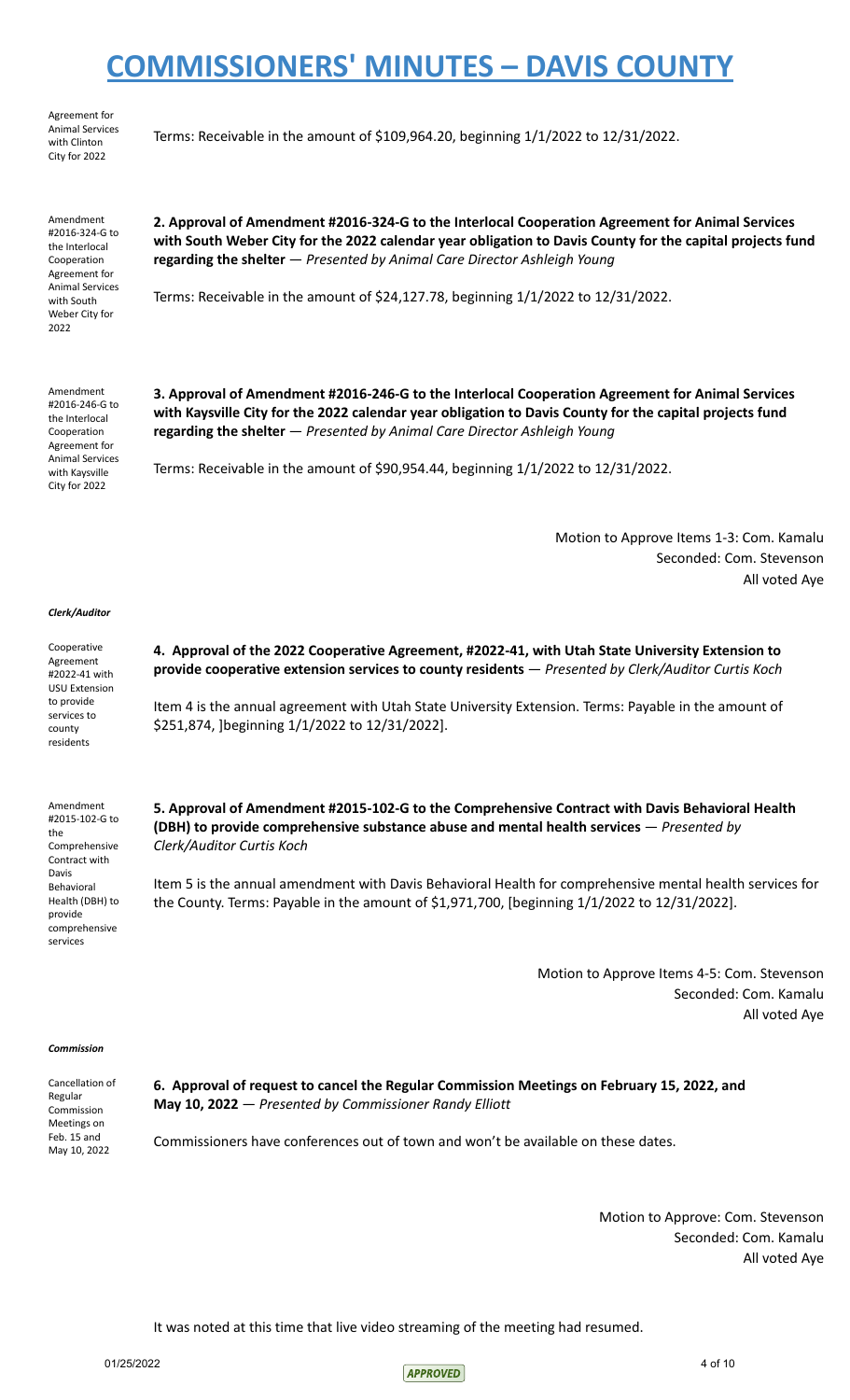Agreement for Animal Services with Clinton City for 2022

Amendment #2016-324-G to the Interlocal Cooperation Agreement for Animal Services with South Weber City for 2022

Amendment #2016-246-G to the Interlocal Cooperation Agreement for Animal Services with Kaysville City for 2022

Terms: Receivable in the amount of \$109,964.20, beginning 1/1/2022 to 12/31/2022.

**regarding the shelter** — *Presented by Animal Care Director Ashleigh Young*

Terms: Receivable in the amount of \$24,127.78, beginning 1/1/2022 to 12/31/2022.

**3. Approval of Amendment #2016-246-G to the Interlocal Cooperation Agreement for Animal Services with Kaysville City for the 2022 calendar year obligation to Davis County for the capital projects fund regarding the shelter** — *Presented by Animal Care Director Ashleigh Young*

**2. Approval of Amendment #2016-324-G to the Interlocal Cooperation Agreement for Animal Services** with South Weber City for the 2022 calendar year obligation to Davis County for the capital projects fund

Terms: Receivable in the amount of \$90,954.44, beginning 1/1/2022 to 12/31/2022.

\$251,874, ]beginning 1/1/2022 to 12/31/2022].

Motion to Approve Items 1-3: Com. Kamalu Seconded: Com. Stevenson All voted Aye

#### *Clerk/Auditor*

Cooperative Agreement #2022-41 with USU Extension to provide services to county residents

Amendment #2015-102-G to

Comprehensive Contract with Davis Behavioral Health (DBH) to provide comprehensive services

the

**provide cooperative extension services to county residents** — *Presented by Clerk/Auditor Curtis Koch* Item 4 is the annual agreement with Utah State University Extension. Terms: Payable in the amount of

**4. Approval of the 2022 Cooperative Agreement, #2022-41, with Utah State University Extension to**

**5. Approval of Amendment #2015-102-G to the Comprehensive Contract with Davis Behavioral Health**

**(DBH) to provide comprehensive substance abuse and mental health services** — *Presented by Clerk/Auditor Curtis Koch*

Item 5 is the annual amendment with Davis Behavioral Health for comprehensive mental health services for the County. Terms: Payable in the amount of \$1,971,700, [beginning 1/1/2022 to 12/31/2022].

> Motion to Approve Items 4-5: Com. Stevenson Seconded: Com. Kamalu All voted Aye

#### *Commission*

| Cancellation of |  |
|-----------------|--|
| Regular         |  |
| Commission      |  |
| Meetings on     |  |
| Feb. 15 and     |  |
| May 10, 2022    |  |

**6. Approval of request to cancel the Regular Commission Meetings on February 15, 2022, and May 10, 2022** — *Presented by Commissioner Randy Elliott*

Commissioners have conferences out of town and won't be available on these dates.

Motion to Approve: Com. Stevenson Seconded: Com. Kamalu All voted Aye

It was noted at this time that live video streaming of the meeting had resumed.

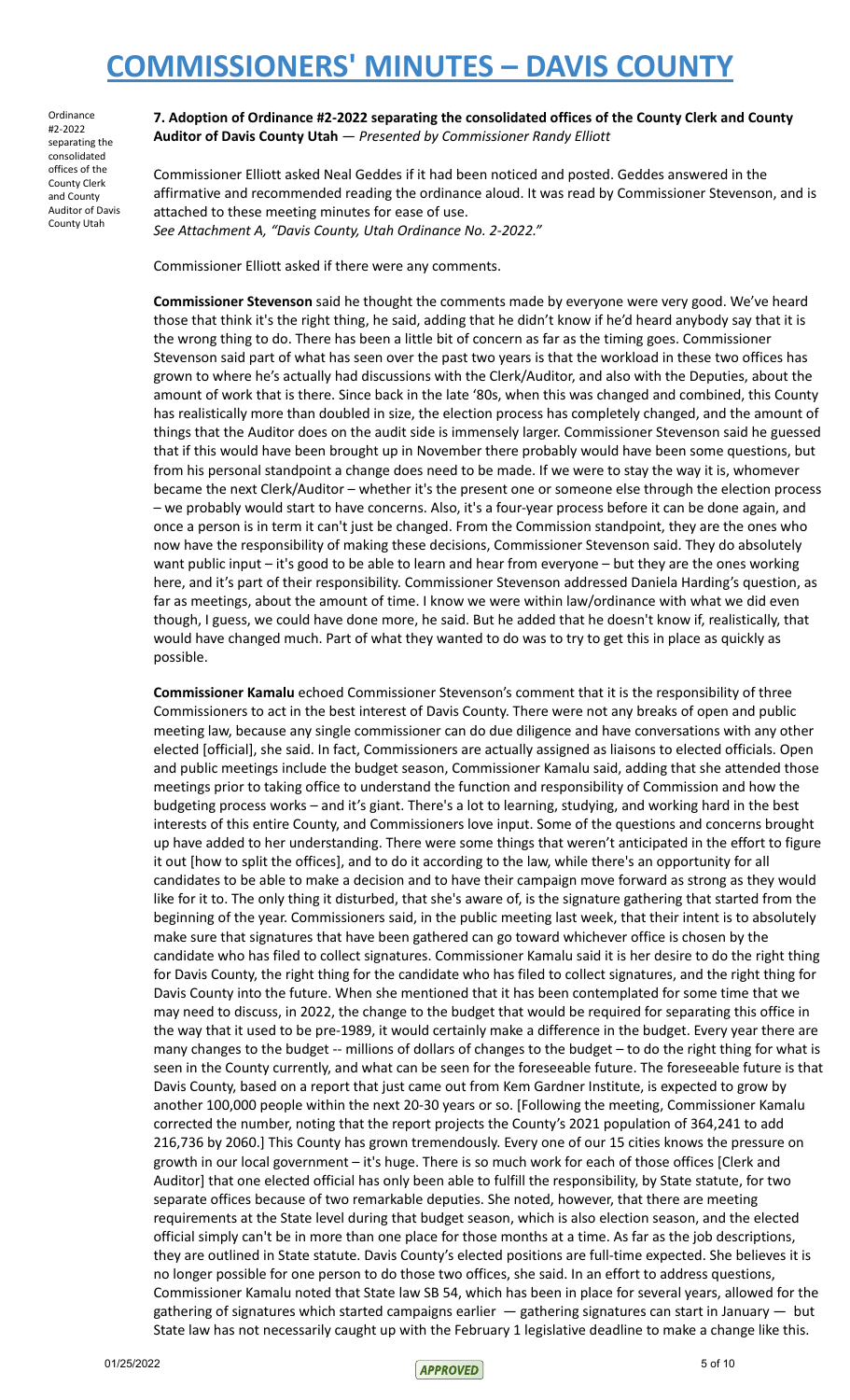Ordinance #2-2022 separating the consolidated offices of the County Clerk and County Auditor of Davis County Utah

**7. Adoption of Ordinance #2-2022 separating the consolidated offices of the County Clerk and County Auditor of Davis County Utah** — *Presented by Commissioner Randy Elliott*

Commissioner Elliott asked Neal Geddes if it had been noticed and posted. Geddes answered in the affirmative and recommended reading the ordinance aloud. It was read by Commissioner Stevenson, and is attached to these meeting minutes for ease of use. *See Attachment A, "Davis County, Utah Ordinance No. 2-2022."*

Commissioner Elliott asked if there were any comments.

**Commissioner Stevenson** said he thought the comments made by everyone were very good. We've heard those that think it's the right thing, he said, adding that he didn't know if he'd heard anybody say that it is the wrong thing to do. There has been a little bit of concern as far as the timing goes. Commissioner Stevenson said part of what has seen over the past two years is that the workload in these two offices has grown to where he's actually had discussions with the Clerk/Auditor, and also with the Deputies, about the amount of work that is there. Since back in the late '80s, when this was changed and combined, this County has realistically more than doubled in size, the election process has completely changed, and the amount of things that the Auditor does on the audit side is immensely larger. Commissioner Stevenson said he guessed that if this would have been brought up in November there probably would have been some questions, but from his personal standpoint a change does need to be made. If we were to stay the way it is, whomever became the next Clerk/Auditor – whether it's the present one or someone else through the election process – we probably would start to have concerns. Also, it's a four-year process before it can be done again, and once a person is in term it can't just be changed. From the Commission standpoint, they are the ones who now have the responsibility of making these decisions, Commissioner Stevenson said. They do absolutely want public input – it's good to be able to learn and hear from everyone – but they are the ones working here, and it's part of their responsibility. Commissioner Stevenson addressed Daniela Harding's question, as far as meetings, about the amount of time. I know we were within law/ordinance with what we did even though, I guess, we could have done more, he said. But he added that he doesn't know if, realistically, that would have changed much. Part of what they wanted to do was to try to get this in place as quickly as possible.

**Commissioner Kamalu** echoed Commissioner Stevenson's comment that it is the responsibility of three Commissioners to act in the best interest of Davis County. There were not any breaks of open and public meeting law, because any single commissioner can do due diligence and have conversations with any other elected [official], she said. In fact, Commissioners are actually assigned as liaisons to elected officials. Open and public meetings include the budget season, Commissioner Kamalu said, adding that she attended those meetings prior to taking office to understand the function and responsibility of Commission and how the budgeting process works – and it's giant. There's a lot to learning, studying, and working hard in the best interests of this entire County, and Commissioners love input. Some of the questions and concerns brought up have added to her understanding. There were some things that weren't anticipated in the effort to figure it out [how to split the offices], and to do it according to the law, while there's an opportunity for all candidates to be able to make a decision and to have their campaign move forward as strong as they would like for it to. The only thing it disturbed, that she's aware of, is the signature gathering that started from the beginning of the year. Commissioners said, in the public meeting last week, that their intent is to absolutely make sure that signatures that have been gathered can go toward whichever office is chosen by the candidate who has filed to collect signatures. Commissioner Kamalu said it is her desire to do the right thing for Davis County, the right thing for the candidate who has filed to collect signatures, and the right thing for Davis County into the future. When she mentioned that it has been contemplated for some time that we may need to discuss, in 2022, the change to the budget that would be required for separating this office in the way that it used to be pre-1989, it would certainly make a difference in the budget. Every year there are many changes to the budget -- millions of dollars of changes to the budget – to do the right thing for what is seen in the County currently, and what can be seen for the foreseeable future. The foreseeable future is that Davis County, based on a report that just came out from Kem Gardner Institute, is expected to grow by another 100,000 people within the next 20-30 years or so. [Following the meeting, Commissioner Kamalu corrected the number, noting that the report projects the County's 2021 population of 364,241 to add 216,736 by 2060.] This County has grown tremendously. Every one of our 15 cities knows the pressure on growth in our local government – it's huge. There is so much work for each of those offices [Clerk and Auditor] that one elected official has only been able to fulfill the responsibility, by State statute, for two separate offices because of two remarkable deputies. She noted, however, that there are meeting requirements at the State level during that budget season, which is also election season, and the elected official simply can't be in more than one place for those months at a time. As far as the job descriptions, they are outlined in State statute. Davis County's elected positions are full-time expected. She believes it is no longer possible for one person to do those two offices, she said. In an effort to address questions, Commissioner Kamalu noted that State law SB 54, which has been in place for several years, allowed for the gathering of signatures which started campaigns earlier — gathering signatures can start in January — but State law has not necessarily caught up with the February 1 legislative deadline to make a change like this.

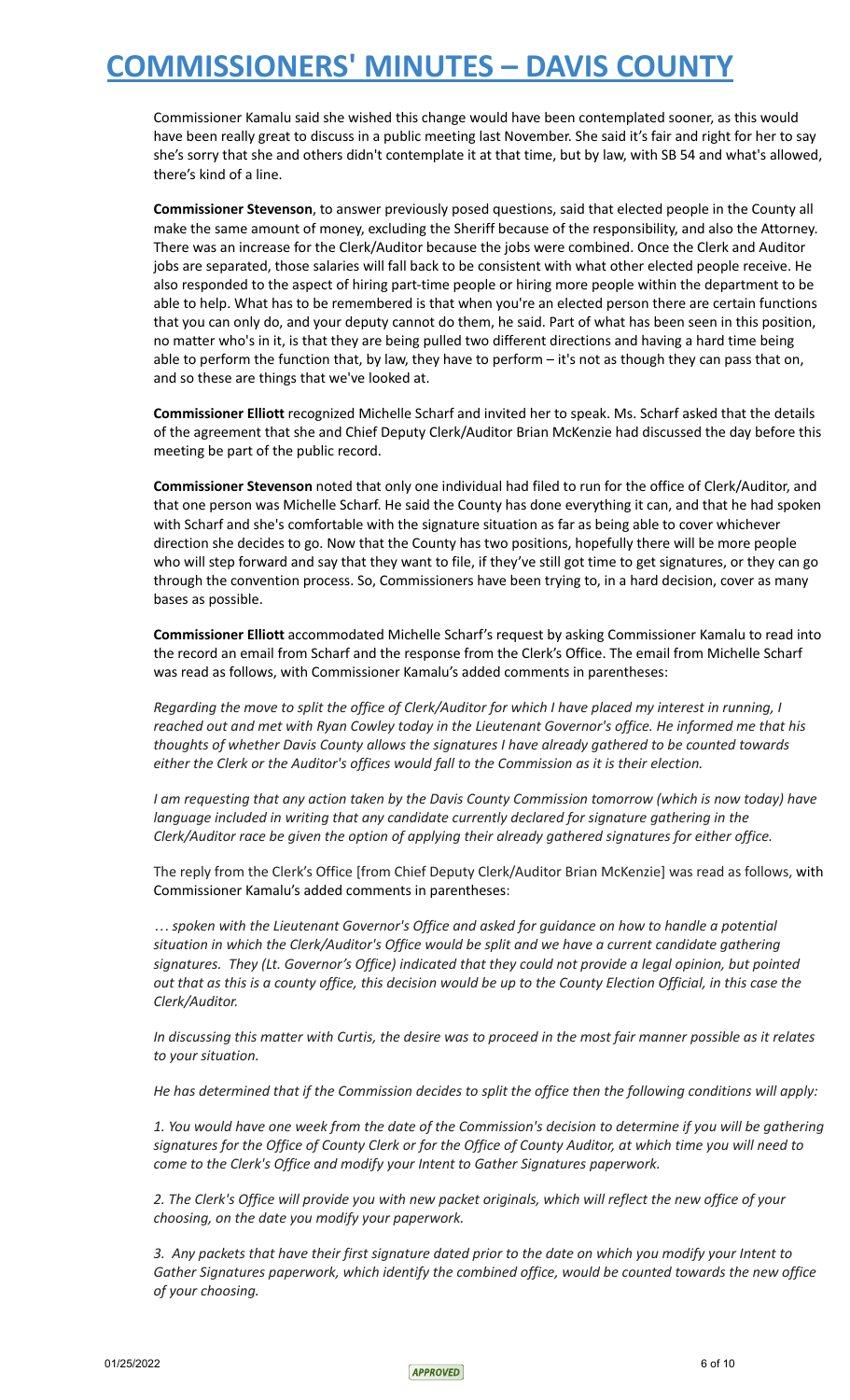Commissioner Kamalu said she wished this change would have been contemplated sooner, as this would have been really great to discuss in a public meeting last November. She said it's fair and right for her to say she's sorry that she and others didn't contemplate it at that time, but by law, with SB 54 and what's allowed, there's kind of a line.

**Commissioner Stevenson**, to answer previously posed questions, said that elected people in the County all make the same amount of money, excluding the Sheriff because of the responsibility, and also the Attorney. There was an increase for the Clerk/Auditor because the jobs were combined. Once the Clerk and Auditor jobs are separated, those salaries will fall back to be consistent with what other elected people receive. He also responded to the aspect of hiring part-time people or hiring more people within the department to be able to help. What has to be remembered is that when you're an elected person there are certain functions that you can only do, and your deputy cannot do them, he said. Part of what has been seen in this position, no matter who's in it, is that they are being pulled two different directions and having a hard time being able to perform the function that, by law, they have to perform – it's not as though they can pass that on, and so these are things that we've looked at.

**Commissioner Elliott** recognized Michelle Scharf and invited her to speak. Ms. Scharf asked that the details of the agreement that she and Chief Deputy Clerk/Auditor Brian McKenzie had discussed the day before this meeting be part of the public record.

**Commissioner Stevenson** noted that only one individual had filed to run for the office of Clerk/Auditor, and that one person was Michelle Scharf. He said the County has done everything it can, and that he had spoken with Scharf and she's comfortable with the signature situation as far as being able to cover whichever direction she decides to go. Now that the County has two positions, hopefully there will be more people who will step forward and say that they want to file, if they've still got time to get signatures, or they can go through the convention process. So, Commissioners have been trying to, in a hard decision, cover as many bases as possible.

**Commissioner Elliott** accommodated Michelle Scharf's request by asking Commissioner Kamalu to read into the record an email from Scharf and the response from the Clerk's Office. The email from Michelle Scharf was read as follows, with Commissioner Kamalu's added comments in parentheses:

Regarding the move to split the office of Clerk/Auditor for which I have placed my interest in running, I reached out and met with Ryan Cowley today in the Lieutenant Governor's office. He informed me that his *thoughts of whether Davis County allows the signatures I have already gathered to be counted towards either the Clerk or the Auditor's offices would fall to the Commission as it is their election.*

I am requesting that any action taken by the Davis County Commission tomorrow (which is now today) have *language included in writing that any candidate currently declared for signature gathering in the Clerk/Auditor race be given the option of applying their already gathered signatures for either office.*

The reply from the Clerk's Office [from Chief Deputy Clerk/Auditor Brian McKenzie] was read as follows, with Commissioner Kamalu's added comments in parentheses:

*… spoken with the Lieutenant Governor's Office and asked for guidance on how to handle a potential situation in which the Clerk/Auditor's Office would be split and we have a current candidate gathering signatures. They (Lt. Governor's Office) indicated that they could not provide a legal opinion, but pointed* out that as this is a county office, this decision would be up to the County Election Official, in this case the *Clerk/Auditor.*

In discussing this matter with Curtis, the desire was to proceed in the most fair manner possible as it relates *to your situation.*

He has determined that if the Commission decides to split the office then the following conditions will apply:

1. You would have one week from the date of the Commission's decision to determine if you will be gathering signatures for the Office of County Clerk or for the Office of County Auditor, at which time you will need to *come to the Clerk's Office and modify your Intent to Gather Signatures paperwork.*

2. The Clerk's Office will provide you with new packet originals, which will reflect the new office of your *choosing, on the date you modify your paperwork.*

3. Any packets that have their first signature dated prior to the date on which you modify your Intent to *Gather Signatures paperwork, which identify the combined office, would be counted towards the new office of your choosing.*

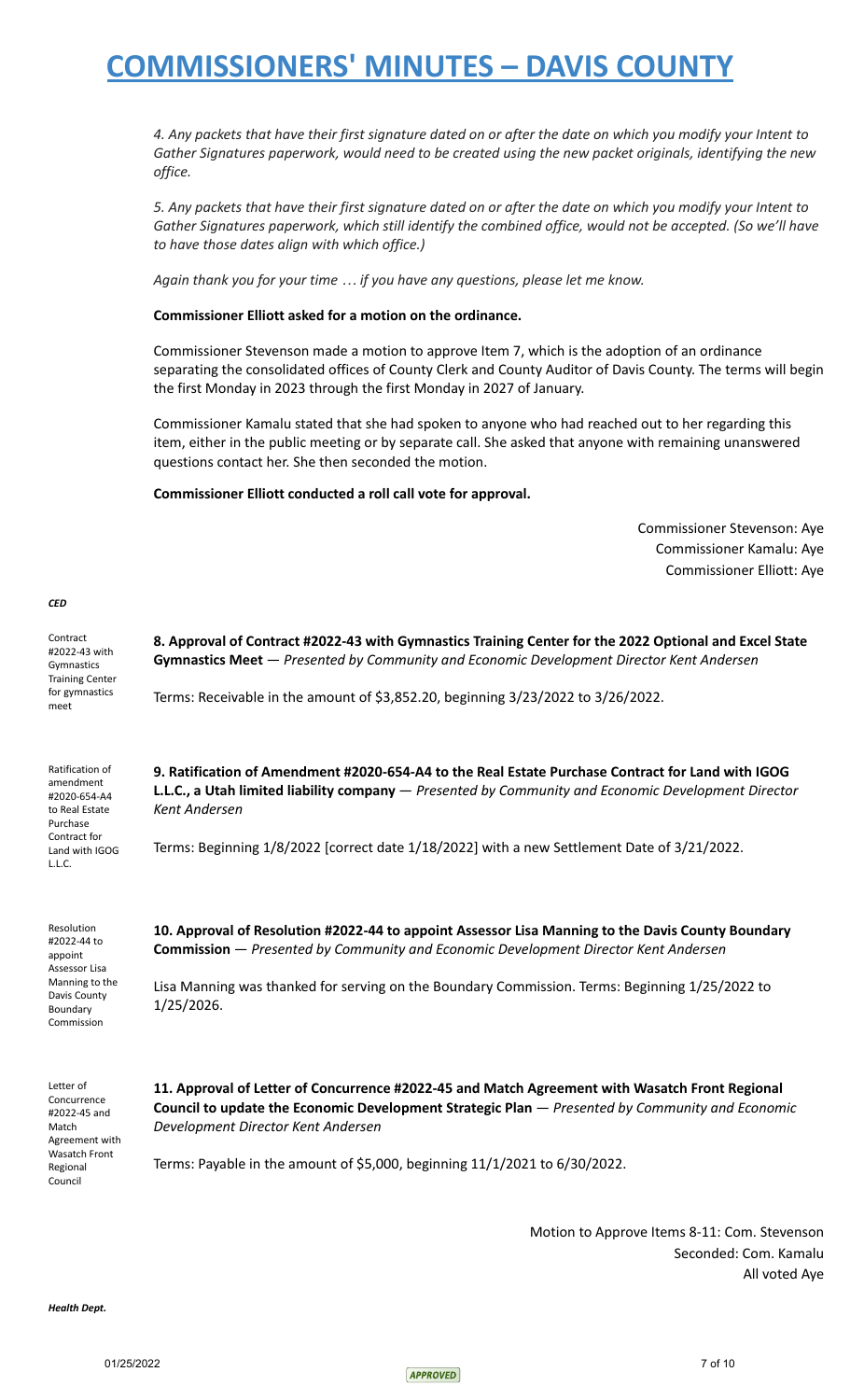4. Any packets that have their first signature dated on or after the date on which you modify your Intent to *Gather Signatures paperwork, would need to be created using the new packet originals, identifying the new office.*

5. Any packets that have their first signature dated on or after the date on which you modify your Intent to *Gather Signatures paperwork, which still identify the combined office, would not be accepted. (So we'll have to have those dates align with which office.)*

*Again thank you for your time … if you have any questions, please let me know.*

**Commissioner Elliott asked for a motion on the ordinance.**

Commissioner Stevenson made a motion to approve Item 7, which is the adoption of an ordinance separating the consolidated offices of County Clerk and County Auditor of Davis County. The terms will begin the first Monday in 2023 through the first Monday in 2027 of January.

Commissioner Kamalu stated that she had spoken to anyone who had reached out to her regarding this item, either in the public meeting or by separate call. She asked that anyone with remaining unanswered questions contact her. She then seconded the motion.

**Commissioner Elliott conducted a roll call vote for approval.**

Commissioner Stevenson: Aye Commissioner Kamalu: Aye Commissioner Elliott: Aye

#### *CED*

Contract #2022-43 with Gymnastics Training Center for gymnastics meet **8. Approval of Contract #2022-43 with Gymnastics Training Center for the 2022 Optional and Excel State Gymnastics Meet** — *Presented by Community and Economic Development Director Kent Andersen* Terms: Receivable in the amount of \$3,852.20, beginning 3/23/2022 to 3/26/2022. Ratification of amendment #2020-654-A4 to Real Estate Purchase Contract for Land with IGOG L.L.C. **9. Ratification of Amendment #2020-654-A4 to the Real Estate Purchase Contract for Land with IGOG L.L.C., a Utah limited liability company** — *Presented by Community and Economic Development Director Kent Andersen* Terms: Beginning 1/8/2022 [correct date 1/18/2022] with a new Settlement Date of 3/21/2022.

Resolution #2022-44 to appoint Assessor Lisa Manning to the Davis County Boundary Commission

**10. Approval of Resolution #2022-44 to appoint Assessor Lisa Manning to the Davis County Boundary Commission** — *Presented by Community and Economic Development Director Kent Andersen*

Lisa Manning was thanked for serving on the Boundary Commission. Terms: Beginning 1/25/2022 to 1/25/2026.

Letter of Concurrence #2022-45 and Match Agreement with Wasatch Front Regional Council

**11. Approval of Letter of Concurrence #2022-45 and Match Agreement with Wasatch Front Regional Council to update the Economic Development Strategic Plan** — *Presented by Community and Economic Development Director Kent Andersen*

Terms: Payable in the amount of \$5,000, beginning 11/1/2021 to 6/30/2022.

Motion to Approve Items 8-11: Com. Stevenson Seconded: Com. Kamalu All voted Aye

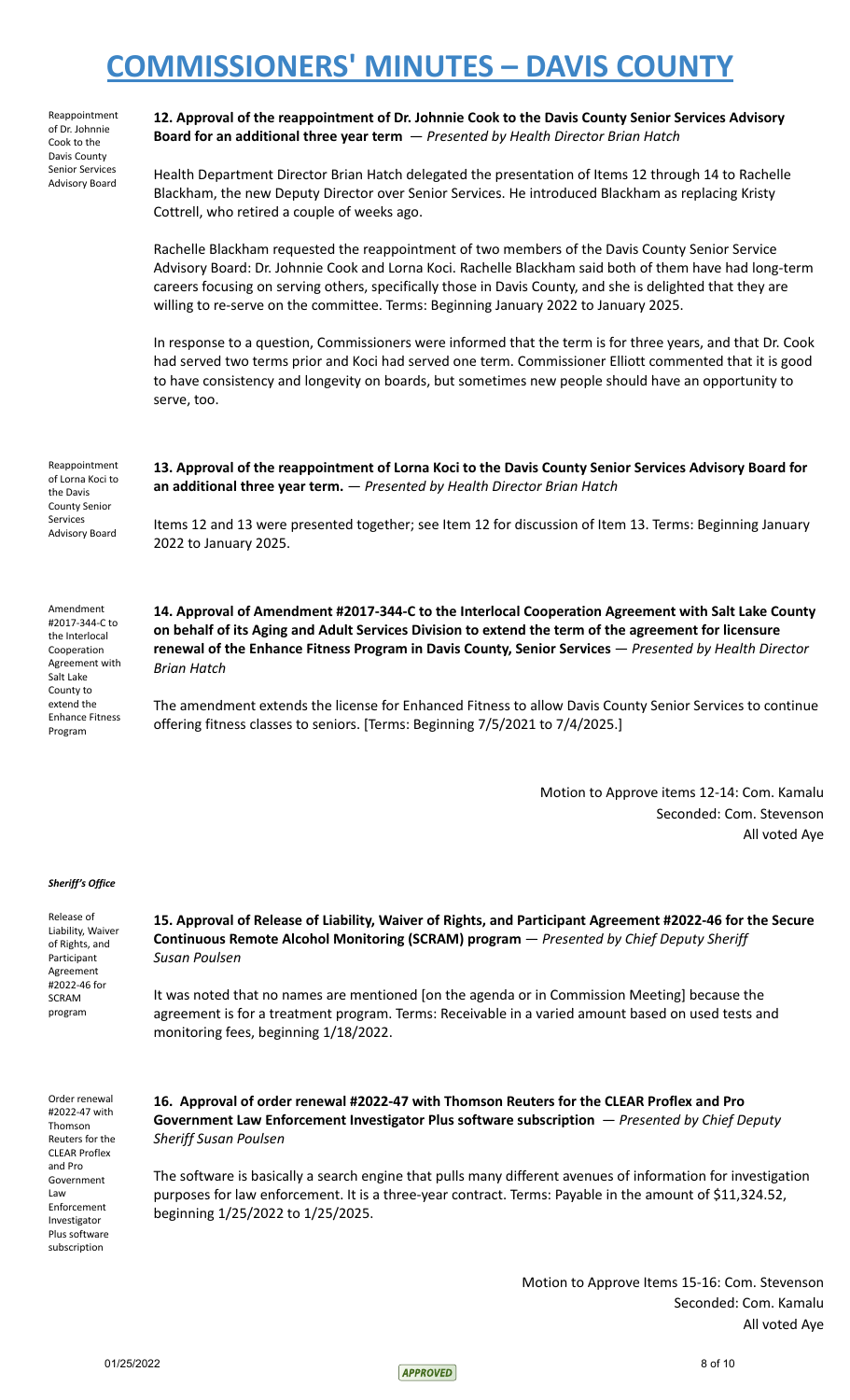| Reappointment          |
|------------------------|
| of Dr. Johnnie         |
| Cook to the            |
| Davis County           |
| <b>Senior Services</b> |
| <b>Advisory Board</b>  |

**12. Approval of the reappointment of Dr. Johnnie Cook to the Davis County Senior Services Advisory Board for an additional three year term** — *Presented by Health Director Brian Hatch*

Health Department Director Brian Hatch delegated the presentation of Items 12 through 14 to Rachelle Blackham, the new Deputy Director over Senior Services. He introduced Blackham as replacing Kristy Cottrell, who retired a couple of weeks ago.

Rachelle Blackham requested the reappointment of two members of the Davis County Senior Service Advisory Board: Dr. Johnnie Cook and Lorna Koci. Rachelle Blackham said both of them have had long-term careers focusing on serving others, specifically those in Davis County, and she is delighted that they are willing to re-serve on the committee. Terms: Beginning January 2022 to January 2025.

In response to a question, Commissioners were informed that the term is for three years, and that Dr. Cook had served two terms prior and Koci had served one term. Commissioner Elliott commented that it is good to have consistency and longevity on boards, but sometimes new people should have an opportunity to serve, too.

Reappointment of Lorna Koci to the Davis County Senior Services Advisory Board

**13. Approval of the reappointment of Lorna Koci to the Davis County Senior Services Advisory Board for an additional three year term.** — *Presented by Health Director Brian Hatch*

Items 12 and 13 were presented together; see Item 12 for discussion of Item 13. Terms: Beginning January 2022 to January 2025.

Amendment #2017-344-C to the Interlocal Cooperation Agreement with Salt Lake County to extend the Enhance Fitness Program

**14. Approval of Amendment #2017-344-C to the Interlocal Cooperation Agreement with Salt Lake County** on behalf of its Aging and Adult Services Division to extend the term of the agreement for licensure **renewal of the Enhance Fitness Program in Davis County, Senior Services** — *Presented by Health Director Brian Hatch*

The amendment extends the license for Enhanced Fitness to allow Davis County Senior Services to continue offering fitness classes to seniors. [Terms: Beginning 7/5/2021 to 7/4/2025.]

> Motion to Approve items 12-14: Com. Kamalu Seconded: Com. Stevenson All voted Aye

#### *Sheriff's Office*

Release of Liability, Waiver of Rights, and Participant Agreement #2022-46 for SCRAM program

**15. Approval of Release of Liability, Waiver of Rights, and Participant Agreement #2022-46 for the Secure Continuous Remote Alcohol Monitoring (SCRAM) program** — *Presented by Chief Deputy Sheriff Susan Poulsen*

It was noted that no names are mentioned [on the agenda or in Commission Meeting] because the agreement is for a treatment program. Terms: Receivable in a varied amount based on used tests and monitoring fees, beginning 1/18/2022.

Order renewal #2022-47 with Thomson Reuters for the CLEAR Proflex and Pro Government Law Enforcement Investigator Plus software subscription

**16. Approval of order renewal #2022-47 with Thomson Reuters for the CLEAR Proflex and Pro Government Law Enforcement Investigator Plus software subscription** — *Presented by Chief Deputy Sheriff Susan Poulsen*

The software is basically a search engine that pulls many different avenues of information for investigation purposes for law enforcement. It is a three-year contract. Terms: Payable in the amount of \$11,324.52, beginning 1/25/2022 to 1/25/2025.

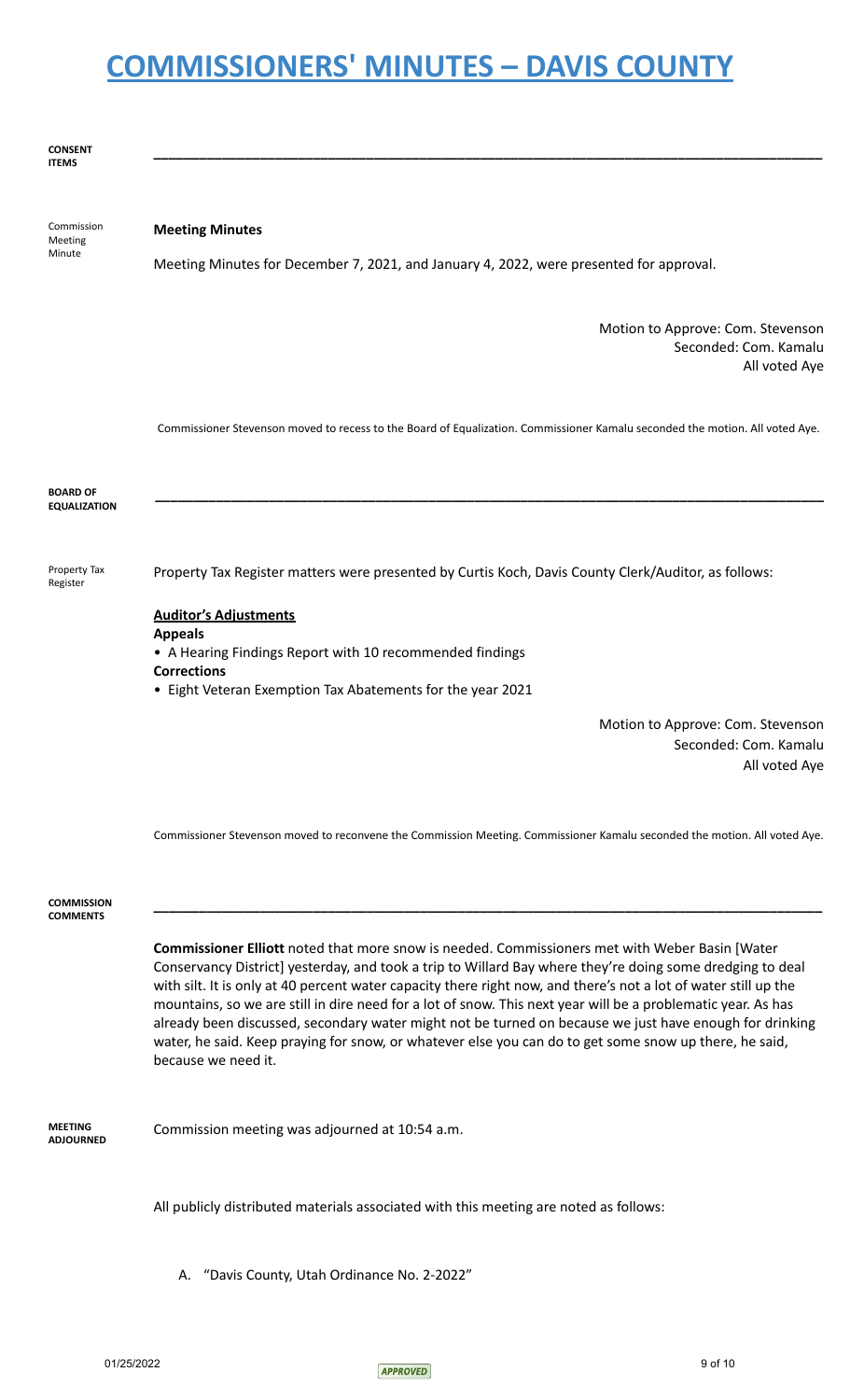#### **CONSENT ITEMS**

Commission Meeting Minute

### **Meeting Minutes**

Meeting Minutes for December 7, 2021, and January 4, 2022, were presented for approval.

Motion to Approve: Com. Stevenson Seconded: Com. Kamalu All voted Aye

Commissioner Stevenson moved to recess to the Board of Equalization. Commissioner Kamalu seconded the motion. All voted Aye.

**\_\_\_\_\_\_\_\_\_\_\_\_\_\_\_\_\_\_\_\_\_\_\_\_\_\_\_\_\_\_\_\_\_\_\_\_\_\_\_\_\_\_\_\_\_\_\_\_\_\_\_\_\_\_\_\_\_\_\_\_\_\_\_\_\_\_\_\_\_\_\_\_\_\_\_\_\_\_\_\_\_\_\_\_\_\_\_\_**



Property Tax Register

Property Tax Register matters were presented by Curtis Koch, Davis County Clerk/Auditor, as follows:

### **Auditor's Adjustments**

**Appeals**

• A Hearing Findings Report with 10 recommended findings

- **Corrections**
- Eight Veteran Exemption Tax Abatements for the year 2021

Motion to Approve: Com. Stevenson Seconded: Com. Kamalu All voted Aye

Commissioner Stevenson moved to reconvene the Commission Meeting. Commissioner Kamalu seconded the motion. All voted Aye.

**\_\_\_\_\_\_\_\_\_\_\_\_\_\_\_\_\_\_\_\_\_\_\_\_\_\_\_\_\_\_\_\_\_\_\_\_\_\_\_\_\_\_\_\_\_\_\_\_\_\_\_\_\_\_\_\_\_\_\_\_\_\_\_\_\_\_\_\_\_\_\_\_\_\_\_\_\_\_\_\_\_\_\_\_\_\_\_\_**

#### **COMMISSION COMMENTS**

**Commissioner Elliott** noted that more snow is needed. Commissioners met with Weber Basin [Water Conservancy District] yesterday, and took a trip to Willard Bay where they're doing some dredging to deal with silt. It is only at 40 percent water capacity there right now, and there's not a lot of water still up the mountains, so we are still in dire need for a lot of snow. This next year will be a problematic year. As has already been discussed, secondary water might not be turned on because we just have enough for drinking water, he said. Keep praying for snow, or whatever else you can do to get some snow up there, he said, because we need it.

**MEETING ADJOURNED** Commission meeting was adjourned at 10:54 a.m.

All publicly distributed materials associated with this meeting are noted as follows:

A. "Davis County, Utah Ordinance No. 2-2022"